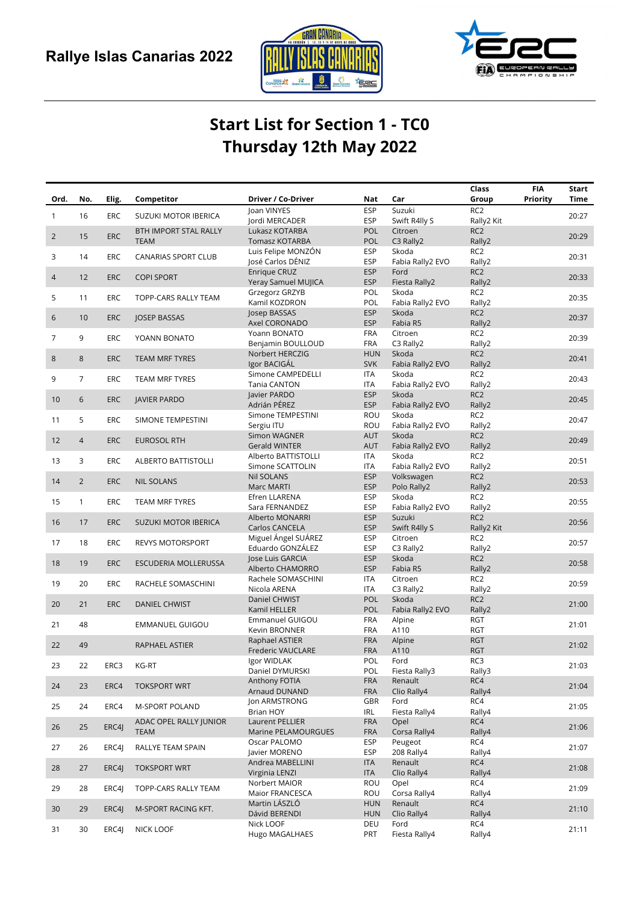



## Start List for Section 1 - TC0 Thursday 12th May 2022

|                 |                |            |                             |                                   |                          |                            | Class                         | <b>FIA</b> | Start       |
|-----------------|----------------|------------|-----------------------------|-----------------------------------|--------------------------|----------------------------|-------------------------------|------------|-------------|
| Ord.            | No.            | Elig.      | Competitor                  | Driver / Co-Driver                | Nat                      | Car                        | Group                         | Priority   | <b>Time</b> |
| $\mathbf{1}$    | 16             | <b>ERC</b> | SUZUKI MOTOR IBERICA        | Joan VINYES<br>lordi MERCADER     | <b>ESP</b>               | Suzuki                     | RC <sub>2</sub>               |            | 20:27       |
|                 |                |            | BTH IMPORT STAL RALLY       | Lukasz KOTARBA                    | <b>ESP</b><br><b>POL</b> | Swift R4lly S<br>Citroen   | Rally2 Kit<br>RC <sub>2</sub> |            |             |
| $\overline{2}$  | 15             | <b>ERC</b> | <b>TEAM</b>                 | <b>Tomasz KOTARBA</b>             | <b>POL</b>               | C3 Rally2                  | Rally2                        |            | 20:29       |
|                 |                |            |                             | Luis Felipe MONZÓN                | <b>ESP</b>               | Skoda                      | RC <sub>2</sub>               |            |             |
| 3               | 14             | <b>ERC</b> | <b>CANARIAS SPORT CLUB</b>  | José Carlos DÉNIZ                 | <b>ESP</b>               | Fabia Rally2 EVO           | Rally2                        |            | 20:31       |
|                 |                |            |                             | Enrique CRUZ                      | <b>ESP</b>               | Ford                       | RC <sub>2</sub>               |            |             |
| $\overline{4}$  | 12             | <b>ERC</b> | <b>COPI SPORT</b>           | Yeray Samuel MUJICA               | <b>ESP</b>               | Fiesta Rally2              | Rally2                        |            | 20:33       |
| 5               | 11             | <b>ERC</b> |                             | Grzegorz GRZYB                    | POL                      | Skoda                      | RC <sub>2</sub>               |            | 20:35       |
|                 |                |            | TOPP-CARS RALLY TEAM        | Kamil KOZDRON                     | POL                      | Fabia Rally2 EVO           | Rally2                        |            |             |
| 6               | 10             | <b>ERC</b> | JOSEP BASSAS                | Josep BASSAS                      | <b>ESP</b>               | Skoda                      | RC <sub>2</sub>               |            | 20:37       |
|                 |                |            |                             | Axel CORONADO                     | <b>ESP</b>               | Fabia R5                   | Rally2                        |            |             |
| 7               | 9              | <b>ERC</b> | YOANN BONATO                | Yoann BONATO                      | <b>FRA</b>               | Citroen                    | RC <sub>2</sub>               |            | 20:39       |
|                 |                |            |                             | Benjamin BOULLOUD                 | <b>FRA</b>               | C3 Rally2                  | Rally2                        |            |             |
| 8               | 8              | <b>ERC</b> | TEAM MRF TYRES              | Norbert HERCZIG                   | <b>HUN</b>               | Skoda                      | RC <sub>2</sub>               |            | 20:41       |
|                 |                |            |                             | Igor BACIGÁL<br>Simone CAMPEDELLI | <b>SVK</b><br>ITA        | Fabia Rally2 EVO<br>Skoda  | Rally2<br>RC <sub>2</sub>     |            |             |
| 9               | $\overline{7}$ | <b>ERC</b> | TEAM MRF TYRES              | Tania CANTON                      | <b>ITA</b>               | Fabia Rally2 EVO           | Rally2                        |            | 20:43       |
|                 |                |            |                             | lavier PARDO                      | <b>ESP</b>               | Skoda                      | RC <sub>2</sub>               |            |             |
| 10 <sup>°</sup> | 6              | <b>ERC</b> | <b>JAVIER PARDO</b>         | Adrián PÉREZ                      | <b>ESP</b>               | Fabia Rally2 EVO           | Rally2                        |            | 20:45       |
|                 |                |            |                             | Simone TEMPESTINI                 | ROU                      | Skoda                      | RC <sub>2</sub>               |            |             |
| 11              | 5              | <b>ERC</b> | SIMONE TEMPESTINI           | Sergiu ITU                        | ROU                      | Fabia Rally2 EVO           | Rally2                        |            | 20:47       |
| 12              | $\overline{4}$ | <b>ERC</b> | <b>EUROSOL RTH</b>          | Simon WAGNER                      | <b>AUT</b>               | Skoda                      | RC <sub>2</sub>               |            | 20:49       |
|                 |                |            |                             | <b>Gerald WINTER</b>              | AUT                      | Fabia Rally2 EVO           | Rally2                        |            |             |
| 13              | 3              | <b>ERC</b> | <b>ALBERTO BATTISTOLLI</b>  | Alberto BATTISTOLLI               | ITA                      | Skoda                      | RC <sub>2</sub>               |            | 20:51       |
|                 |                |            |                             | Simone SCATTOLIN                  | ITA                      | Fabia Rally2 EVO           | Rally2                        |            |             |
| 14              | $\overline{2}$ | <b>ERC</b> | <b>NIL SOLANS</b>           | <b>Nil SOLANS</b>                 | <b>ESP</b>               | Volkswagen                 | RC <sub>2</sub>               |            | 20:53       |
|                 |                |            |                             | Marc MARTI                        | <b>ESP</b>               | Polo Rally2                | Rally2                        |            |             |
| 15              | $\mathbf{1}$   | ERC        | TEAM MRF TYRES              | Efren LLARENA                     | <b>ESP</b>               | Skoda                      | RC <sub>2</sub>               |            | 20:55       |
|                 |                |            |                             | Sara FERNANDEZ<br>Alberto MONARRI | <b>ESP</b><br><b>ESP</b> | Fabia Rally2 EVO<br>Suzuki | Rally2<br>RC <sub>2</sub>     |            |             |
| 16              | 17             | <b>ERC</b> | <b>SUZUKI MOTOR IBERICA</b> | Carlos CANCELA                    | <b>ESP</b>               | Swift R4lly S              | Rally2 Kit                    |            | 20:56       |
|                 |                |            |                             | Miguel Ángel SUÁREZ               | <b>ESP</b>               | Citroen                    | RC <sub>2</sub>               |            |             |
| 17              | 18             | <b>ERC</b> | <b>REVYS MOTORSPORT</b>     | Eduardo GONZÁLEZ                  | <b>ESP</b>               | C3 Rally2                  | Rally2                        |            | 20:57       |
|                 |                |            |                             | Jose Luis GARCIA                  | <b>ESP</b>               | Skoda                      | RC <sub>2</sub>               |            |             |
| 18              | 19             | <b>ERC</b> | ESCUDERIA MOLLERUSSA        | Alberto CHAMORRO                  | <b>ESP</b>               | Fabia R5                   | Rally2                        |            | 20:58       |
| 19              | 20             | <b>ERC</b> |                             | Rachele SOMASCHINI                | <b>ITA</b>               | Citroen                    | RC <sub>2</sub>               |            | 20:59       |
|                 |                |            | RACHELE SOMASCHINI          | Nicola ARENA                      | ITA                      | C3 Rally2                  | Rally2                        |            |             |
| 20              | 21             | <b>ERC</b> | DANIEL CHWIST               | Daniel CHWIST                     | <b>POL</b>               | Skoda                      | RC <sub>2</sub>               |            | 21:00       |
|                 |                |            |                             | Kamil HELLER                      | <b>POL</b>               | Fabia Rally2 EVO           | Rally2                        |            |             |
| 21              | 48             |            | <b>EMMANUEL GUIGOU</b>      | Emmanuel GUIGOU                   | <b>FRA</b>               | Alpine                     | <b>RGT</b>                    |            | 21:01       |
|                 |                |            |                             | Kevin BRONNER                     | <b>FRA</b>               | A110                       | <b>RGT</b>                    |            |             |
| 22              | 49             |            | RAPHAEL ASTIER              | Raphael ASTIER                    | <b>FRA</b>               | Alpine                     | <b>RGT</b><br><b>RGT</b>      |            | 21:02       |
|                 |                |            |                             | Frederic VAUCLARE<br>Igor WIDLAK  | <b>FRA</b><br>POL        | A110<br>Ford               | RC3                           |            |             |
| 23              | 22             | ERC3       | KG-RT                       | Daniel DYMURSKI                   | POL                      | Fiesta Rally3              | Rally3                        |            | 21:03       |
|                 |                |            |                             | Anthony FOTIA                     | <b>FRA</b>               | Renault                    | RC4                           |            |             |
| 24              | 23             | ERC4       | <b>TOKSPORT WRT</b>         | Arnaud DUNAND                     | <b>FRA</b>               | Clio Rally4                | Rally4                        |            | 21:04       |
|                 |                |            |                             | Jon ARMSTRONG                     | GBR                      | Ford                       | RC4                           |            |             |
| 25              | 24             | ERC4       | <b>M-SPORT POLAND</b>       | Brian HOY                         | IRL                      | Fiesta Rally4              | Rally4                        |            | 21:05       |
| 26              | 25             | ERC4J      | ADAC OPEL RALLY JUNIOR      | Laurent PELLIER                   | <b>FRA</b>               | Opel                       | RC4                           |            | 21:06       |
|                 |                |            | <b>TEAM</b>                 | Marine PELAMOURGUES               | <b>FRA</b>               | Corsa Rally4               | Rally4                        |            |             |
| 27              | 26             | ERC4J      | RALLYE TEAM SPAIN           | Oscar PALOMO                      | <b>ESP</b>               | Peugeot                    | RC4                           |            | 21:07       |
|                 |                |            |                             | Javier MORENO                     | ESP                      | 208 Rally4                 | Rally4                        |            |             |
| 28              | 27             | ERC4J      | <b>TOKSPORT WRT</b>         | Andrea MABELLINI                  | <b>ITA</b>               | Renault                    | RC4                           |            | 21:08       |
|                 |                |            |                             | Virginia LENZI                    | <b>ITA</b>               | Clio Rally4                | Rally4                        |            |             |
| 29              | 28             | ERC4J      | TOPP-CARS RALLY TEAM        | Norbert MAIOR                     | ROU                      | Opel<br>Corsa Rally4       | RC4                           |            | 21:09       |
|                 |                |            |                             | Maior FRANCESCA<br>Martin LÁSZLÓ  | ROU<br><b>HUN</b>        | Renault                    | Rally4<br>RC4                 |            |             |
| 30              | 29             | ERC4J      | M-SPORT RACING KFT.         | Dávid BERENDI                     | <b>HUN</b>               | Clio Rally4                | Rally4                        |            | 21:10       |
|                 |                |            |                             | Nick LOOF                         | DEU                      | Ford                       | RC4                           |            |             |
| 31              | 30             | ERC4J      | NICK LOOF                   | Hugo MAGALHAES                    | PRT                      | Fiesta Rally4              | Rally4                        |            | 21:11       |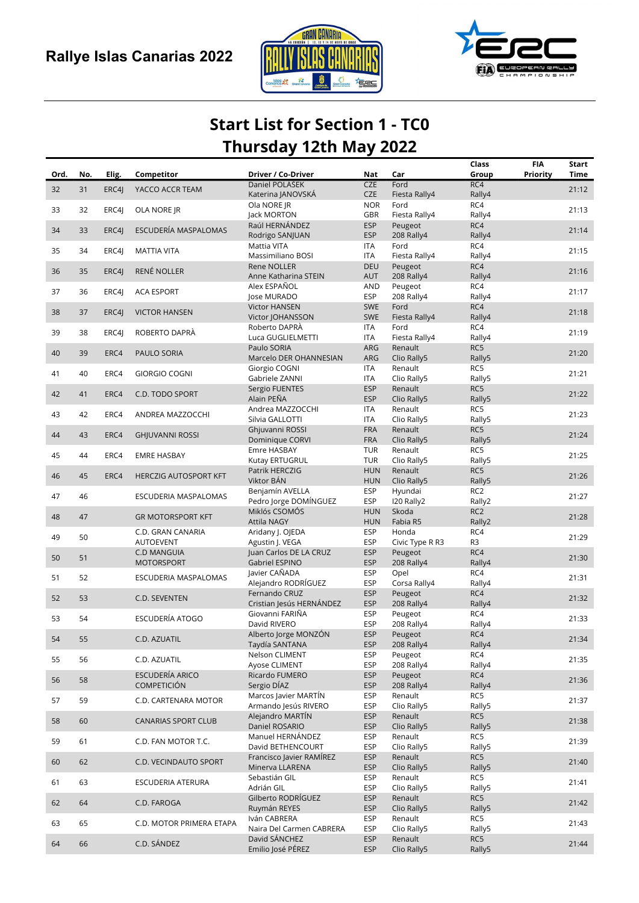



## Start List for Section 1 - TC0 Thursday 12th May 2022

| Ord. | No. | Elig. | Competitor                             | Driver / Co-Driver                        | Nat                      | Car                        | Class<br>Group        | <b>FIA</b><br>Priority | Start<br>Time |
|------|-----|-------|----------------------------------------|-------------------------------------------|--------------------------|----------------------------|-----------------------|------------------------|---------------|
|      |     |       |                                        | Daniel POLASEK                            | <b>CZE</b>               | Ford                       | RC4                   |                        |               |
| 32   | 31  | ERC4J | YACCO ACCR TEAM                        | Katerina JANOVSKA                         | <b>CZE</b>               | Fiesta Rally4              | Rally4                |                        | 21:12         |
| 33   | 32  | ERC4J | OLA NORE JR                            | Ola NORE JR                               | <b>NOR</b>               | Ford                       | RC4                   |                        | 21:13         |
|      |     |       |                                        | lack MORTON                               | GBR                      | Fiesta Rally4              | Rally4                |                        |               |
| 34   | 33  | ERC4I | ESCUDERÍA MASPALOMAS                   | Raúl HERNÁNDEZ                            | <b>ESP</b>               | Peugeot                    | RC4                   |                        | 21:14         |
|      |     |       |                                        | Rodrigo SANJUAN<br>Mattia VITA            | <b>ESP</b><br><b>ITA</b> | 208 Rally4<br>Ford         | Rally4<br>RC4         |                        |               |
| 35   | 34  | ERC4J | <b>MATTIA VITA</b>                     | Massimiliano BOSI                         | <b>ITA</b>               | Fiesta Rally4              | Rally4                |                        | 21:15         |
|      |     |       |                                        | Rene NOLLER                               | <b>DEU</b>               | Peugeot                    | RC4                   |                        |               |
| 36   | 35  | ERC4J | RENÉ NOLLER                            | Anne Katharina STEIN                      | <b>AUT</b>               | 208 Rally4                 | Rally4                |                        | 21:16         |
|      |     |       |                                        | Alex ESPAÑOL                              | AND                      | Peugeot                    | RC4                   |                        |               |
| 37   | 36  | ERC4J | <b>ACA ESPORT</b>                      | Jose MURADO                               | <b>ESP</b>               | 208 Rally4                 | Rally4                |                        | 21:17         |
| 38   | 37  | ERC4J | <b>VICTOR HANSEN</b>                   | <b>Victor HANSEN</b>                      | <b>SWE</b>               | Ford                       | RC4                   |                        | 21:18         |
|      |     |       |                                        | Victor JOHANSSON                          | <b>SWE</b>               | Fiesta Rally4              | Rally4                |                        |               |
| 39   | 38  | ERC4J | ROBERTO DAPRÀ                          | Roberto DAPRÀ                             | <b>ITA</b>               | Ford                       | RC4<br>Rally4         |                        | 21:19         |
|      |     |       |                                        | Luca GUGLIELMETTI<br>Paulo SORIA          | <b>ITA</b><br>ARG        | Fiesta Rally4<br>Renault   | RC5                   |                        |               |
| 40   | 39  | ERC4  | PAULO SORIA                            | Marcelo DER OHANNESIAN                    | ARG                      | Clio Rally5                | Rally5                |                        | 21:20         |
|      |     |       |                                        | Giorgio COGNI                             | <b>ITA</b>               | Renault                    | RC5                   |                        |               |
| 41   | 40  | ERC4  | <b>GIORGIO COGNI</b>                   | Gabriele ZANNI                            | <b>ITA</b>               | Clio Rally5                | Rally5                |                        | 21:21         |
| 42   | 41  | ERC4  | C.D. TODO SPORT                        | Sergio FUENTES                            | <b>ESP</b>               | Renault                    | RC5                   |                        | 21:22         |
|      |     |       |                                        | Alain PEÑA                                | <b>ESP</b>               | Clio Rally5                | Rally5                |                        |               |
| 43   | 42  | ERC4  | ANDREA MAZZOCCHI                       | Andrea MAZZOCCHI                          | <b>ITA</b>               | Renault                    | RC5                   |                        | 21:23         |
|      |     |       |                                        | Silvia GALLOTTI                           | <b>ITA</b>               | Clio Rally5                | Rally5                |                        |               |
| 44   | 43  | ERC4  | <b>GHJUVANNI ROSSI</b>                 | Ghjuvanni ROSSI                           | <b>FRA</b>               | Renault                    | RC5                   |                        | 21:24         |
|      |     |       |                                        | Dominique CORVI<br>Emre HASBAY            | <b>FRA</b><br>TUR        | Clio Rally5<br>Renault     | Rally5<br>RC5         |                        |               |
| 45   | 44  | ERC4  | <b>EMRE HASBAY</b>                     | Kutay ERTUGRUL                            | <b>TUR</b>               | Clio Rally5                | Rally5                |                        | 21:25         |
|      |     |       |                                        | Patrik HERCZIG                            | <b>HUN</b>               | Renault                    | RC5                   |                        |               |
| 46   | 45  | ERC4  | HERCZIG AUTOSPORT KFT                  | Viktor BÁN                                | <b>HUN</b>               | Clio Rally5                | Rally5                |                        | 21:26         |
|      |     |       |                                        | Benjamín AVELLA                           | <b>ESP</b>               | Hyundai                    | RC <sub>2</sub>       |                        |               |
| 47   | 46  |       | ESCUDERIA MASPALOMAS                   | Pedro Jorge DOMÍNGUEZ                     | <b>ESP</b>               | I20 Rally2                 | Rally2                |                        | 21:27         |
| 48   | 47  |       | <b>GR MOTORSPORT KFT</b>               | Miklós CSOMÓS                             | <b>HUN</b>               | Skoda                      | RC <sub>2</sub>       |                        | 21:28         |
|      |     |       |                                        | <b>Attila NAGY</b>                        | <b>HUN</b>               | Fabia R5                   | Rally2                |                        |               |
| 49   | 50  |       | C.D. GRAN CANARIA                      | Aridany J. OJEDA                          | <b>ESP</b>               | Honda                      | RC4                   |                        | 21:29         |
|      |     |       | <b>AUTOEVENT</b><br><b>C.D MANGUIA</b> | Agustin J. VEGA<br>Juan Carlos DE LA CRUZ | <b>ESP</b><br><b>ESP</b> | Civic Type R R3<br>Peugeot | R <sub>3</sub><br>RC4 |                        |               |
| 50   | 51  |       | <b>MOTORSPORT</b>                      | Gabriel ESPINO                            | <b>ESP</b>               | 208 Rally4                 | Rally4                |                        | 21:30         |
|      |     |       |                                        | Javier CAÑADA                             | <b>ESP</b>               | Opel                       | RC4                   |                        |               |
| 51   | 52  |       | ESCUDERIA MASPALOMAS                   | Alejandro RODRÍGUEZ                       | <b>ESP</b>               | Corsa Rally4               | Rally4                |                        | 21:31         |
| 52   | 53  |       | C.D. SEVENTEN                          | Fernando CRUZ                             | <b>ESP</b>               | Peugeot                    | RC4                   |                        | 21:32         |
|      |     |       |                                        | Cristian Jesús HERNÁNDEZ                  | <b>ESP</b>               | 208 Rally4                 | Rally4                |                        |               |
| 53   | 54  |       | <b>ESCUDERÍA ATOGO</b>                 | Giovanni FARIÑA                           | <b>ESP</b>               | Peugeot                    | RC4                   |                        | 21:33         |
|      |     |       |                                        | David RIVERO                              | <b>ESP</b>               | 208 Rally4                 | Rally4                |                        |               |
| 54   | 55  |       | C.D. AZUATIL                           | Alberto Jorge MONZON<br>Taydía SANTANA    | <b>ESP</b><br><b>ESP</b> | Peugeot<br>208 Rally4      | RC4<br>Rally4         |                        | 21:34         |
|      |     |       |                                        | Nelson CLIMENT                            | <b>ESP</b>               | Peugeot                    | RC4                   |                        |               |
| 55   | 56  |       | C.D. AZUATIL                           | Ayose CLIMENT                             | <b>ESP</b>               | 208 Rally4                 | Rally4                |                        | 21:35         |
|      |     |       | ESCUDERÍA ARICO                        | Ricardo FUMERO                            | <b>ESP</b>               | Peugeot                    | RC4                   |                        |               |
| 56   | 58  |       | <b>COMPETICIÓN</b>                     | Sergio DÍAZ                               | <b>ESP</b>               | 208 Rally4                 | Rally4                |                        | 21:36         |
| 57   | 59  |       | C.D. CARTENARA MOTOR                   | Marcos Javier MARTÍN                      | <b>ESP</b>               | Renault                    | RC5                   |                        | 21:37         |
|      |     |       |                                        | Armando Jesús RIVERO                      | <b>ESP</b>               | Clio Rally5                | Rally5                |                        |               |
| 58   | 60  |       | <b>CANARIAS SPORT CLUB</b>             | Alejandro MARTÍN                          | <b>ESP</b>               | Renault                    | RC5                   |                        | 21:38         |
|      |     |       |                                        | Daniel ROSARIO                            | <b>ESP</b>               | Clio Rally5                | Rally5                |                        |               |
| 59   | 61  |       | C.D. FAN MOTOR T.C.                    | Manuel HERNÁNDEZ<br>David BETHENCOURT     | <b>ESP</b><br><b>ESP</b> | Renault<br>Clio Rally5     | RC5<br>Rally5         |                        | 21:39         |
|      |     |       |                                        | Francisco Javier RAMÍREZ                  | <b>ESP</b>               | Renault                    | RC5                   |                        |               |
| 60   | 62  |       | C.D. VECINDAUTO SPORT                  | Minerva LLARENA                           | <b>ESP</b>               | Clio Rally5                | Rally5                |                        | 21:40         |
|      |     |       |                                        | Sebastián GIL                             | <b>ESP</b>               | Renault                    | RC5                   |                        |               |
| 61   | 63  |       | ESCUDERIA ATERURA                      | Adrián GIL                                | <b>ESP</b>               | Clio Rally5                | Rally5                |                        | 21:41         |
| 62   | 64  |       | C.D. FAROGA                            | Gilberto RODRÍGUEZ                        | <b>ESP</b>               | Renault                    | RC5                   |                        | 21:42         |
|      |     |       |                                        | Ruymán REYES                              | <b>ESP</b>               | Clio Rally5                | Rally5                |                        |               |
| 63   | 65  |       | C.D. MOTOR PRIMERA ETAPA               | Iván CABRERA                              | <b>ESP</b>               | Renault                    | RC5                   |                        | 21:43         |
|      |     |       |                                        | Naira Del Carmen CABRERA<br>David SÁNCHEZ | <b>ESP</b><br><b>ESP</b> | Clio Rally5                | Rally5<br>RC5         |                        |               |
| 64   | 66  |       | C.D. SÁNDEZ                            | Emilio José PÉREZ                         | <b>ESP</b>               | Renault<br>Clio Rally5     | Rally5                |                        | 21:44         |
|      |     |       |                                        |                                           |                          |                            |                       |                        |               |